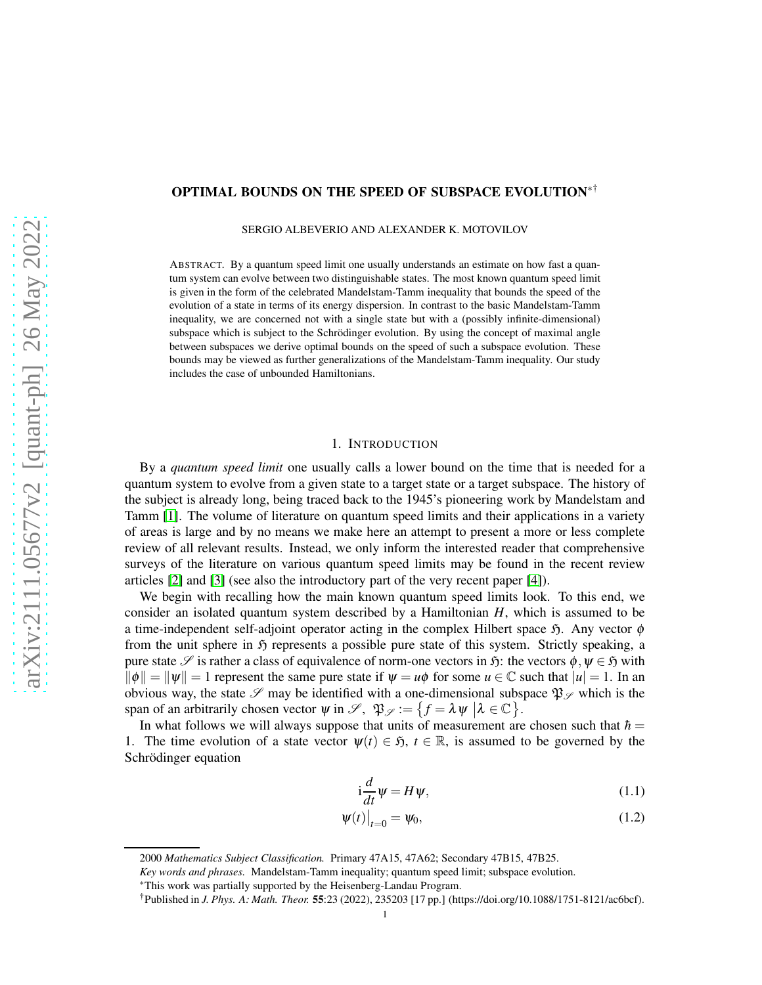# OPTIMAL BOUNDS ON THE SPEED OF SUBSPACE EVOLUTION∗†

SERGIO ALBEVERIO AND ALEXANDER K. MOTOVILOV

ABSTRACT. By a quantum speed limit one usually understands an estimate on how fast a quantum system can evolve between two distinguishable states. The most known quantum speed limit is given in the form of the celebrated Mandelstam-Tamm inequality that bounds the speed of the evolution of a state in terms of its energy dispersion. In contrast to the basic Mandelstam-Tamm inequality, we are concerned not with a single state but with a (possibly infinite-dimensional) subspace which is subject to the Schrödinger evolution. By using the concept of maximal angle between subspaces we derive optimal bounds on the speed of such a subspace evolution. These bounds may be viewed as further generalizations of the Mandelstam-Tamm inequality. Our study includes the case of unbounded Hamiltonians.

## 1. INTRODUCTION

By a *quantum speed limit* one usually calls a lower bound on the time that is needed for a quantum system to evolve from a given state to a target state or a target subspace. The history of the subject is already long, being traced back to the 1945's pioneering work by Mandelstam and Tamm [\[1\]](#page-14-0). The volume of literature on quantum speed limits and their applications in a variety of areas is large and by no means we make here an attempt to present a more or less complete review of all relevant results. Instead, we only inform the interested reader that comprehensive surveys of the literature on various quantum speed limits may be found in the recent review articles [\[2\]](#page-14-1) and [\[3\]](#page-14-2) (see also the introductory part of the very recent paper [\[4\]](#page-14-3)).

We begin with recalling how the main known quantum speed limits look. To this end, we consider an isolated quantum system described by a Hamiltonian *H*, which is assumed to be a time-independent self-adjoint operator acting in the complex Hilbert space  $\mathfrak{H}$ . Any vector  $\phi$ from the unit sphere in  $\mathfrak H$  represents a possible pure state of this system. Strictly speaking, a pure state  $\mathscr S$  is rather a class of equivalence of norm-one vectors in  $\mathfrak H$ : the vectors  $\phi, \psi \in \mathfrak H$  with  $\|\phi\| = \|\psi\| = 1$  represent the same pure state if  $\psi = u\phi$  for some  $u \in \mathbb{C}$  such that  $|u| = 1$ . In an obvious way, the state  $\mathscr S$  may be identified with a one-dimensional subspace  $\mathfrak{P}_{\mathscr S}$  which is the span of an arbitrarily chosen vector  $\psi$  in  $\mathscr{S}, \mathfrak{P}_{\mathscr{S}} := \{ f = \lambda \psi \mid \lambda \in \mathbb{C} \}.$ 

In what follows we will always suppose that units of measurement are chosen such that  $\hbar =$ 1. The time evolution of a state vector  $\psi(t) \in \mathfrak{H}$ ,  $t \in \mathbb{R}$ , is assumed to be governed by the Schrödinger equation

<span id="page-0-1"></span><span id="page-0-0"></span>
$$
i\frac{d}{dt}\psi = H\psi,\tag{1.1}
$$

$$
\left.\psi(t)\right|_{t=0} = \psi_0,\tag{1.2}
$$

<sup>2000</sup> *Mathematics Subject Classification.* Primary 47A15, 47A62; Secondary 47B15, 47B25.

*Key words and phrases.* Mandelstam-Tamm inequality; quantum speed limit; subspace evolution.

<sup>∗</sup>This work was partially supported by the Heisenberg-Landau Program.

<sup>†</sup>Published in *J. Phys. A: Math. Theor.* 55:23 (2022), 235203 [17 pp.] (https://doi.org/10.1088/1751-8121/ac6bcf).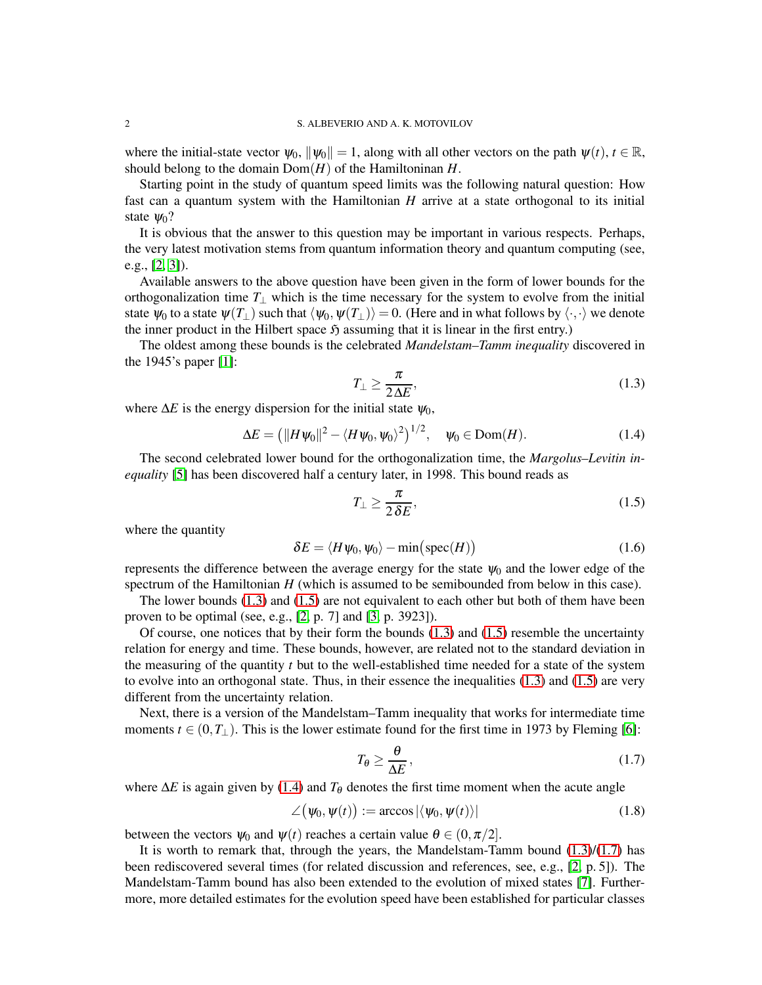where the initial-state vector  $\psi_0$ ,  $\|\psi_0\| = 1$ , along with all other vectors on the path  $\psi(t)$ ,  $t \in \mathbb{R}$ , should belong to the domain Dom(*H*) of the Hamiltoninan *H*.

Starting point in the study of quantum speed limits was the following natural question: How fast can a quantum system with the Hamiltonian *H* arrive at a state orthogonal to its initial state  $\Psi_0$ ?

It is obvious that the answer to this question may be important in various respects. Perhaps, the very latest motivation stems from quantum information theory and quantum computing (see, e.g., [\[2,](#page-14-1) [3\]](#page-14-2)).

Available answers to the above question have been given in the form of lower bounds for the orthogonalization time  $T_{\perp}$  which is the time necessary for the system to evolve from the initial state  $\psi_0$  to a state  $\psi(T_\perp)$  such that  $\langle \psi_0, \psi(T_\perp) \rangle = 0$ . (Here and in what follows by  $\langle \cdot, \cdot \rangle$  we denote the inner product in the Hilbert space  $\mathfrak{H}$  assuming that it is linear in the first entry.)

The oldest among these bounds is the celebrated *Mandelstam–Tamm inequality* discovered in the 1945's paper [\[1\]](#page-14-0):

<span id="page-1-0"></span>
$$
T_{\perp} \ge \frac{\pi}{2\Delta E},\tag{1.3}
$$

where  $\Delta E$  is the energy dispersion for the initial state  $\psi_0$ ,

<span id="page-1-2"></span>
$$
\Delta E = \left( ||H\psi_0||^2 - \langle H\psi_0, \psi_0 \rangle^2 \right)^{1/2}, \quad \psi_0 \in \text{Dom}(H). \tag{1.4}
$$

The second celebrated lower bound for the orthogonalization time, the *Margolus–Levitin inequality* [\[5\]](#page-14-4) has been discovered half a century later, in 1998. This bound reads as

<span id="page-1-1"></span>
$$
T_{\perp} \ge \frac{\pi}{2\,\delta E},\tag{1.5}
$$

where the quantity

$$
\delta E = \langle H \psi_0, \psi_0 \rangle - \min\big(\text{spec}(H)\big) \tag{1.6}
$$

represents the difference between the average energy for the state  $\psi_0$  and the lower edge of the spectrum of the Hamiltonian *H* (which is assumed to be semibounded from below in this case).

The lower bounds [\(1.3\)](#page-1-0) and [\(1.5\)](#page-1-1) are not equivalent to each other but both of them have been proven to be optimal (see, e.g., [\[2,](#page-14-1) p. 7] and [\[3,](#page-14-2) p. 3923]).

Of course, one notices that by their form the bounds  $(1.3)$  and  $(1.5)$  resemble the uncertainty relation for energy and time. These bounds, however, are related not to the standard deviation in the measuring of the quantity *t* but to the well-established time needed for a state of the system to evolve into an orthogonal state. Thus, in their essence the inequalities [\(1.3\)](#page-1-0) and [\(1.5\)](#page-1-1) are very different from the uncertainty relation.

Next, there is a version of the Mandelstam–Tamm inequality that works for intermediate time moments  $t \in (0, T_\perp)$ . This is the lower estimate found for the first time in 1973 by Fleming [\[6\]](#page-14-5):

<span id="page-1-3"></span>
$$
T_{\theta} \ge \frac{\theta}{\Delta E},\tag{1.7}
$$

where  $\Delta E$  is again given by [\(1.4\)](#page-1-2) and  $T_\theta$  denotes the first time moment when the acute angle

$$
\angle(\psi_0, \psi(t)) := \arccos|\langle \psi_0, \psi(t) \rangle| \tag{1.8}
$$

between the vectors  $\psi_0$  and  $\psi(t)$  reaches a certain value  $\theta \in (0, \pi/2]$ .

It is worth to remark that, through the years, the Mandelstam-Tamm bound  $(1.3)/(1.7)$  $(1.3)/(1.7)$  has been rediscovered several times (for related discussion and references, see, e.g., [\[2,](#page-14-1) p. 5]). The Mandelstam-Tamm bound has also been extended to the evolution of mixed states [\[7\]](#page-14-6). Furthermore, more detailed estimates for the evolution speed have been established for particular classes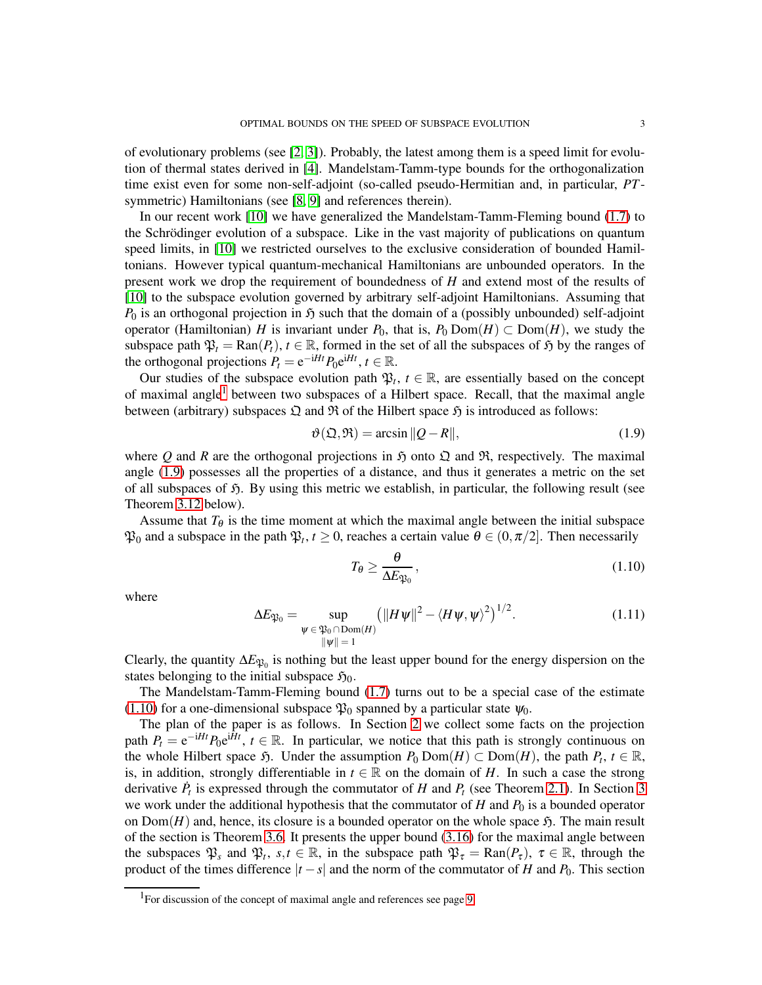of evolutionary problems (see  $[2, 3]$  $[2, 3]$ ). Probably, the latest among them is a speed limit for evolution of thermal states derived in [\[4\]](#page-14-3). Mandelstam-Tamm-type bounds for the orthogonalization time exist even for some non-self-adjoint (so-called pseudo-Hermitian and, in particular, *PT*-symmetric) Hamiltonians (see [\[8,](#page-14-7) [9\]](#page-14-8) and references therein).

In our recent work [\[10\]](#page-14-9) we have generalized the Mandelstam-Tamm-Fleming bound [\(1.7\)](#page-1-3) to the Schrödinger evolution of a subspace. Like in the vast majority of publications on quantum speed limits, in [\[10\]](#page-14-9) we restricted ourselves to the exclusive consideration of bounded Hamiltonians. However typical quantum-mechanical Hamiltonians are unbounded operators. In the present work we drop the requirement of boundedness of *H* and extend most of the results of [\[10\]](#page-14-9) to the subspace evolution governed by arbitrary self-adjoint Hamiltonians. Assuming that  $P_0$  is an orthogonal projection in  $\mathfrak H$  such that the domain of a (possibly unbounded) self-adjoint operator (Hamiltonian) *H* is invariant under  $P_0$ , that is,  $P_0$  Dom(*H*) ⊂ Dom(*H*), we study the subspace path  $\mathfrak{P}_t = \text{Ran}(P_t)$ ,  $t \in \mathbb{R}$ , formed in the set of all the subspaces of  $\mathfrak H$  by the ranges of the orthogonal projections  $P_t = e^{-iHt} P_0 e^{iHt}$ ,  $t \in \mathbb{R}$ .

Our studies of the subspace evolution path  $\mathfrak{P}_t$ ,  $t \in \mathbb{R}$ , are essentially based on the concept of maximal angle<sup>[1](#page-2-0)</sup> between two subspaces of a Hilbert space. Recall, that the maximal angle between (arbitrary) subspaces  $\mathfrak Q$  and  $\mathfrak R$  of the Hilbert space  $\mathfrak H$  is introduced as follows:

<span id="page-2-1"></span>
$$
\vartheta(\mathfrak{Q}, \mathfrak{R}) = \arcsin \|Q - R\|,\tag{1.9}
$$

where Q and R are the orthogonal projections in  $\mathfrak{H}$  onto  $\mathfrak{Q}$  and  $\mathfrak{R}$ , respectively. The maximal angle [\(1.9\)](#page-2-1) possesses all the properties of a distance, and thus it generates a metric on the set of all subspaces of  $\mathfrak{H}$ . By using this metric we establish, in particular, the following result (see Theorem [3.12](#page-11-0) below).

Assume that  $T_{\theta}$  is the time moment at which the maximal angle between the initial subspace  $\mathfrak{P}_0$  and a subspace in the path  $\mathfrak{P}_t$ ,  $t \ge 0$ , reaches a certain value  $\theta \in (0, \pi/2]$ . Then necessarily

<span id="page-2-2"></span>
$$
T_{\theta} \ge \frac{\theta}{\Delta E_{\mathfrak{P}_0}},\tag{1.10}
$$

where

<span id="page-2-3"></span>
$$
\Delta E_{\mathfrak{P}_0} = \sup_{\substack{\psi \in \mathfrak{P}_0 \cap \text{Dom}(H) \\ \|\psi\| = 1}} \left( \|H\psi\|^2 - \langle H\psi, \psi \rangle^2 \right)^{1/2}.
$$
 (1.11)

Clearly, the quantity  $\Delta E_{\mathfrak{P}_0}$  is nothing but the least upper bound for the energy dispersion on the states belonging to the initial subspace  $\mathfrak{H}_0$ .

The Mandelstam-Tamm-Fleming bound [\(1.7\)](#page-1-3) turns out to be a special case of the estimate [\(1.10\)](#page-2-2) for a one-dimensional subspace  $\mathfrak{P}_0$  spanned by a particular state  $\psi_0$ .

The plan of the paper is as follows. In Section [2](#page-3-0) we collect some facts on the projection path  $P_t = e^{-iHt} P_0 e^{i\tilde{H}t}$ ,  $t \in \mathbb{R}$ . In particular, we notice that this path is strongly continuous on the whole Hilbert space  $\mathfrak{H}$ . Under the assumption  $P_0$  Dom $(H) \subset$  Dom $(H)$ , the path  $P_t$ ,  $t \in \mathbb{R}$ , is, in addition, strongly differentiable in  $t \in \mathbb{R}$  on the domain of *H*. In such a case the strong derivative  $\dot{P}_t$  is expressed through the commutator of *H* and  $P_t$  (see Theorem [2.1\)](#page-5-0). In Section [3](#page-7-0) we work under the additional hypothesis that the commutator of  $H$  and  $P_0$  is a bounded operator on  $Dom(H)$  and, hence, its closure is a bounded operator on the whole space  $\mathfrak{H}$ . The main result of the section is Theorem [3.6.](#page-9-0) It presents the upper bound [\(3.16\)](#page-9-1) for the maximal angle between the subspaces  $\mathfrak{P}_s$  and  $\mathfrak{P}_t$ ,  $s,t \in \mathbb{R}$ , in the subspace path  $\mathfrak{P}_\tau = \text{Ran}(P_\tau)$ ,  $\tau \in \mathbb{R}$ , through the product of the times difference  $|t - s|$  and the norm of the commutator of *H* and *P*<sub>0</sub>. This section

<span id="page-2-0"></span><sup>&</sup>lt;sup>1</sup>For discussion of the concept of maximal angle and references see page [9.](#page-8-0)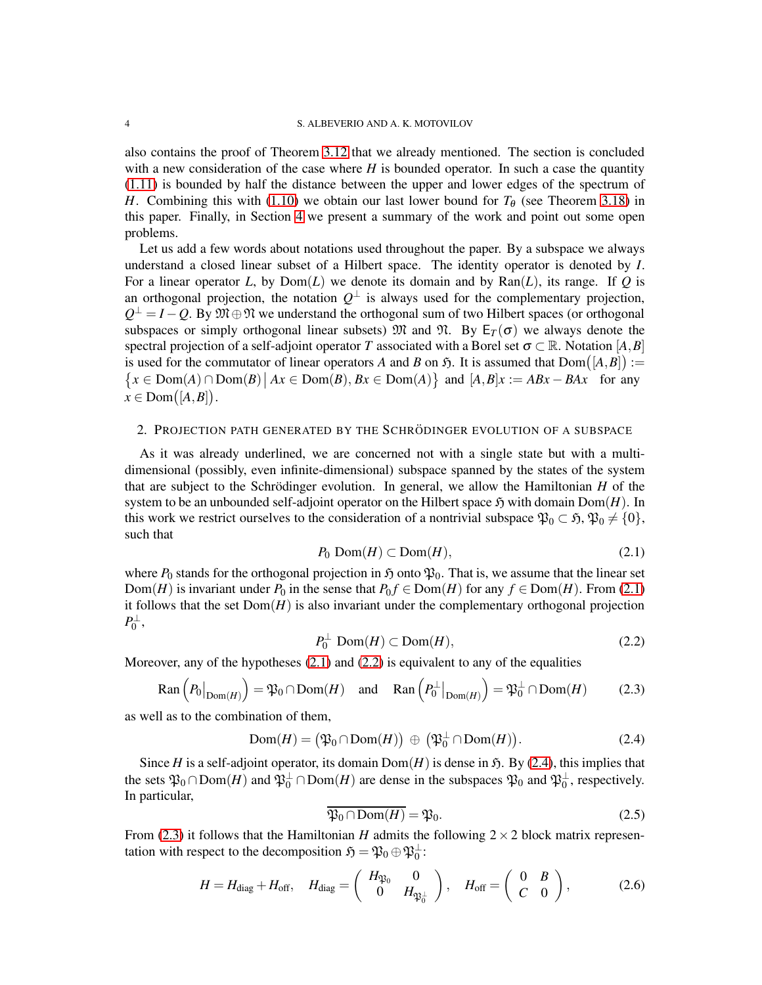also contains the proof of Theorem [3.12](#page-11-0) that we already mentioned. The section is concluded with a new consideration of the case where *H* is bounded operator. In such a case the quantity [\(1.11\)](#page-2-3) is bounded by half the distance between the upper and lower edges of the spectrum of *H*. Combining this with [\(1.10\)](#page-2-2) we obtain our last lower bound for  $T_{\theta}$  (see Theorem [3.18\)](#page-12-0) in this paper. Finally, in Section [4](#page-13-0) we present a summary of the work and point out some open problems.

Let us add a few words about notations used throughout the paper. By a subspace we always understand a closed linear subset of a Hilbert space. The identity operator is denoted by *I*. For a linear operator *L*, by  $Dom(L)$  we denote its domain and by  $Ran(L)$ , its range. If *Q* is an orthogonal projection, the notation  $Q^{\perp}$  is always used for the complementary projection,  $Q^{\perp} = I - Q$ . By  $\mathfrak{M} \oplus \mathfrak{N}$  we understand the orthogonal sum of two Hilbert spaces (or orthogonal subspaces or simply orthogonal linear subsets)  $\mathfrak{M}$  and  $\mathfrak{N}$ . By  $E_T(\sigma)$  we always denote the spectral projection of a self-adjoint operator *T* associated with a Borel set  $\sigma \subset \mathbb{R}$ . Notation [*A*,*B*] is used for the commutator of linear operators A and B on  $\mathfrak{H}$ . It is assumed that  $Dom([A, B]) :=$  $\{x \in \text{Dom}(A) \cap \text{Dom}(B) \mid Ax \in \text{Dom}(B), Bx \in \text{Dom}(A)\}$  and  $[A, B]x := ABx - BAx$  for any  $x \in \text{Dom}([A, B]).$ 

## <span id="page-3-0"></span>2. PROJECTION PATH GENERATED BY THE SCHRÖDINGER EVOLUTION OF A SUBSPACE

As it was already underlined, we are concerned not with a single state but with a multidimensional (possibly, even infinite-dimensional) subspace spanned by the states of the system that are subject to the Schrödinger evolution. In general, we allow the Hamiltonian  $H$  of the system to be an unbounded self-adjoint operator on the Hilbert space  $\mathfrak{H}$  with domain  $Dom(H)$ . In this work we restrict ourselves to the consideration of a nontrivial subspace  $\mathfrak{P}_0 \subset \mathfrak{H}, \mathfrak{P}_0 \neq \{0\},\$ such that

<span id="page-3-1"></span>
$$
P_0 \text{ Dom}(H) \subset \text{Dom}(H),\tag{2.1}
$$

where  $P_0$  stands for the orthogonal projection in  $\mathfrak{H}$  onto  $\mathfrak{P}_0$ . That is, we assume that the linear set Dom(*H*) is invariant under  $P_0$  in the sense that  $P_0 f \in \text{Dom}(H)$  for any  $f \in \text{Dom}(H)$ . From [\(2.1\)](#page-3-1) it follows that the set  $Dom(H)$  is also invariant under the complementary orthogonal projection  $P_0^{\perp}$ ,

<span id="page-3-2"></span>
$$
P_0^{\perp} \text{Dom}(H) \subset \text{Dom}(H),\tag{2.2}
$$

Moreover, any of the hypotheses [\(2.1\)](#page-3-1) and [\(2.2\)](#page-3-2) is equivalent to any of the equalities

<span id="page-3-4"></span>
$$
\text{Ran}\left(P_0\big|_{\text{Dom}(H)}\right) = \mathfrak{P}_0 \cap \text{Dom}(H) \quad \text{and} \quad \text{Ran}\left(P_0^\perp\big|_{\text{Dom}(H)}\right) = \mathfrak{P}_0^\perp \cap \text{Dom}(H) \tag{2.3}
$$

as well as to the combination of them,

<span id="page-3-3"></span>
$$
Dom(H) = (\mathfrak{P}_0 \cap Dom(H)) \oplus (\mathfrak{P}_0^{\perp} \cap Dom(H)). \tag{2.4}
$$

Since *H* is a self-adjoint operator, its domain  $Dom(H)$  is dense in  $\mathfrak{H}$ . By [\(2.4\)](#page-3-3), this implies that the sets  $\mathfrak{P}_0 \cap \text{Dom}(H)$  and  $\mathfrak{P}_0^{\perp} \cap \text{Dom}(H)$  are dense in the subspaces  $\mathfrak{P}_0$  and  $\mathfrak{P}_0^{\perp}$ , respectively. In particular,

<span id="page-3-5"></span>
$$
\overline{\mathfrak{P}_0 \cap \text{Dom}(H)} = \mathfrak{P}_0. \tag{2.5}
$$

From [\(2.3\)](#page-3-4) it follows that the Hamiltonian *H* admits the following  $2 \times 2$  block matrix representation with respect to the decomposition  $\mathfrak{H} = \mathfrak{P}_0 \oplus \mathfrak{P}_0^{\perp}$ :

$$
H = H_{\text{diag}} + H_{\text{off}}, \quad H_{\text{diag}} = \begin{pmatrix} H_{\mathfrak{P}_0} & 0 \\ 0 & H_{\mathfrak{P}_0^{\perp}} \end{pmatrix}, \quad H_{\text{off}} = \begin{pmatrix} 0 & B \\ C & 0 \end{pmatrix}, \tag{2.6}
$$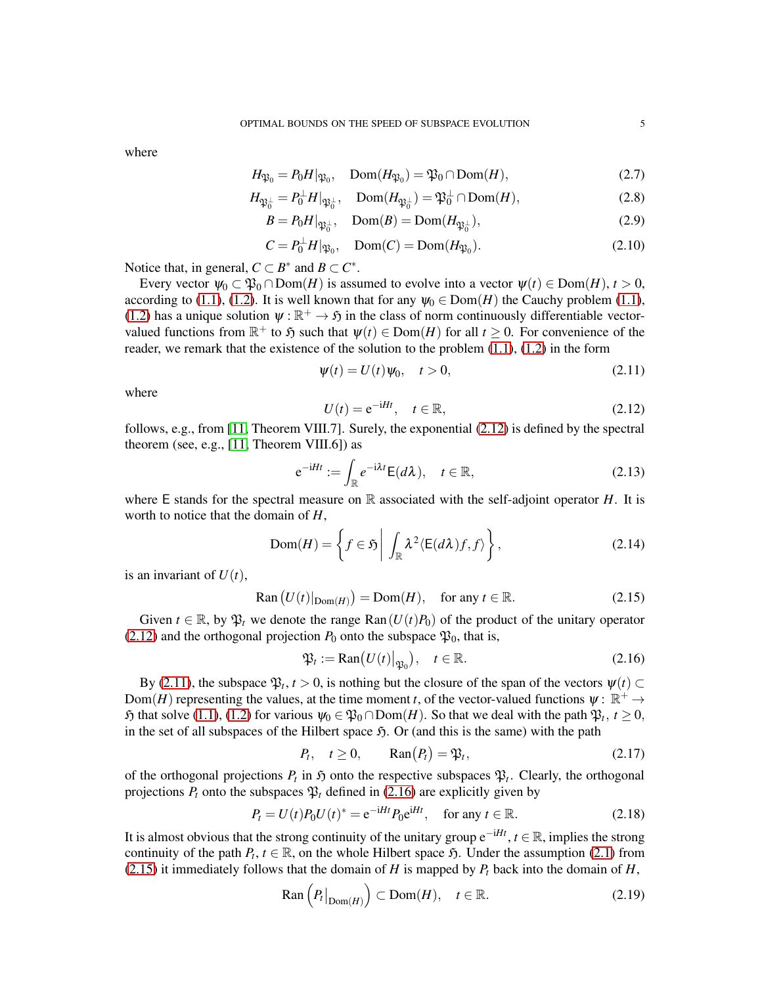where

$$
H_{\mathfrak{P}_0} = P_0 H |_{\mathfrak{P}_0}, \quad \text{Dom}(H_{\mathfrak{P}_0}) = \mathfrak{P}_0 \cap \text{Dom}(H), \tag{2.7}
$$

$$
H_{\mathfrak{P}_0^{\perp}} = P_0^{\perp} H|_{\mathfrak{P}_0^{\perp}}, \quad \text{Dom}(H_{\mathfrak{P}_0^{\perp}}) = \mathfrak{P}_0^{\perp} \cap \text{Dom}(H), \tag{2.8}
$$

$$
B = P_0 H|_{\mathfrak{P}_0^{\perp}}, \quad \text{Dom}(B) = \text{Dom}(H_{\mathfrak{P}_0^{\perp}}), \tag{2.9}
$$

$$
C = P_0^{\perp} H | \varphi_0, \quad \text{Dom}(C) = \text{Dom}(H \varphi_0). \tag{2.10}
$$

Notice that, in general,  $C \subset B^*$  and  $B \subset C^*$ .

Every vector  $\psi_0 \subset \mathfrak{P}_0 \cap \text{Dom}(H)$  is assumed to evolve into a vector  $\psi(t) \in \text{Dom}(H), t > 0$ , according to [\(1.1\)](#page-0-0), [\(1.2\)](#page-0-1). It is well known that for any  $\psi_0 \in \text{Dom}(H)$  the Cauchy problem (1.1), [\(1.2\)](#page-0-1) has a unique solution  $\psi : \mathbb{R}^+ \to \mathfrak{H}$  in the class of norm continuously differentiable vectorvalued functions from  $\mathbb{R}^+$  to  $\mathfrak{H}$  such that  $\psi(t) \in \text{Dom}(H)$  for all  $t \geq 0$ . For convenience of the reader, we remark that the existence of the solution to the problem  $(1.1)$ ,  $(1.2)$  in the form

<span id="page-4-1"></span>
$$
\psi(t) = U(t)\psi_0, \quad t > 0,
$$
\n(2.11)

where

<span id="page-4-0"></span>
$$
U(t) = e^{-iHt}, \quad t \in \mathbb{R}, \tag{2.12}
$$

follows, e.g., from [\[11,](#page-14-10) Theorem VIII.7]. Surely, the exponential [\(2.12\)](#page-4-0) is defined by the spectral theorem (see, e.g.,  $[11,$  Theorem VIII.6]) as

$$
e^{-iHt} := \int_{\mathbb{R}} e^{-i\lambda t} E(d\lambda), \quad t \in \mathbb{R},
$$
 (2.13)

where E stands for the spectral measure on  $\mathbb R$  associated with the self-adjoint operator *H*. It is worth to notice that the domain of *H*,

$$
\text{Dom}(H) = \left\{ f \in \mathfrak{H} \mid \int_{\mathbb{R}} \lambda^2 \langle E(d\lambda)f, f \rangle \right\},\tag{2.14}
$$

is an invariant of  $U(t)$ ,

<span id="page-4-3"></span>
$$
Ran (U(t)|_{\text{Dom}(H)}) = \text{Dom}(H), \quad \text{for any } t \in \mathbb{R}.
$$
 (2.15)

Given  $t \in \mathbb{R}$ , by  $\mathfrak{P}_t$  we denote the range Ran( $U(t)P_0$ ) of the product of the unitary operator [\(2.12\)](#page-4-0) and the orthogonal projection  $P_0$  onto the subspace  $\mathfrak{P}_0$ , that is,

<span id="page-4-2"></span>
$$
\mathfrak{P}_t := \text{Ran}(U(t)|_{\mathfrak{P}_0}), \quad t \in \mathbb{R}.\tag{2.16}
$$

By [\(2.11\)](#page-4-1), the subspace  $\mathfrak{P}_t$ ,  $t > 0$ , is nothing but the closure of the span of the vectors  $\psi(t) \subset$ Dom(*H*) representing the values, at the time moment *t*, of the vector-valued functions  $\psi : \mathbb{R}^+ \to$  $\mathfrak{H}$  that solve [\(1.1\)](#page-0-0), [\(1.2\)](#page-0-1) for various  $\psi_0 \in \mathfrak{P}_0 \cap \text{Dom}(H)$ . So that we deal with the path  $\mathfrak{P}_t$ ,  $t \ge 0$ , in the set of all subspaces of the Hilbert space  $\mathfrak{H}$ . Or (and this is the same) with the path

$$
P_t, \quad t \ge 0, \qquad \operatorname{Ran}(P_t) = \mathfrak{P}_t,\tag{2.17}
$$

of the orthogonal projections  $P_t$  in  $\mathfrak H$  onto the respective subspaces  $\mathfrak P_t$ . Clearly, the orthogonal projections  $P_t$  onto the subspaces  $\mathfrak{P}_t$  defined in [\(2.16\)](#page-4-2) are explicitly given by

<span id="page-4-4"></span>
$$
P_t = U(t)P_0U(t)^* = e^{-iHt}P_0e^{iHt}, \quad \text{for any } t \in \mathbb{R}.
$$
 (2.18)

It is almost obvious that the strong continuity of the unitary group  $e^{-iHt}$ ,  $t \in \mathbb{R}$ , implies the strong continuity of the path  $P_t$ ,  $t \in \mathbb{R}$ , on the whole Hilbert space  $\mathfrak{H}$ . Under the assumption [\(2.1\)](#page-3-1) from [\(2.15\)](#page-4-3) it immediately follows that the domain of *H* is mapped by  $P_t$  back into the domain of *H*,

<span id="page-4-5"></span>
$$
\text{Ran}\left(P_t\big|_{\text{Dom}(H)}\right) \subset \text{Dom}(H), \quad t \in \mathbb{R}.\tag{2.19}
$$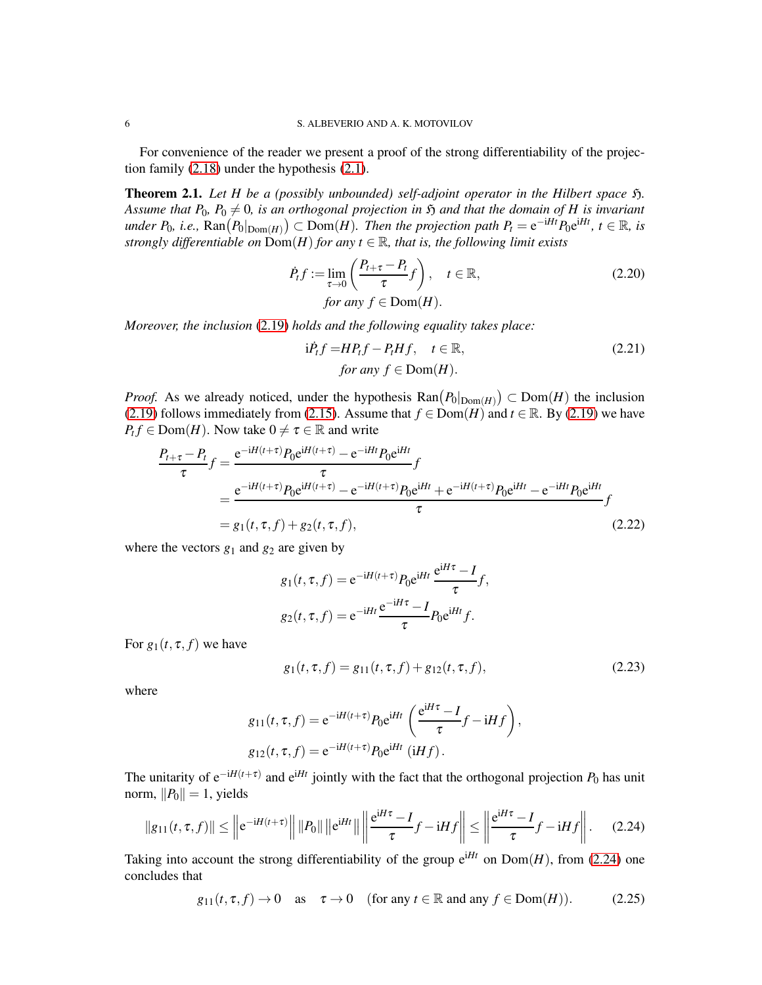For convenience of the reader we present a proof of the strong differentiability of the projection family [\(2.18\)](#page-4-4) under the hypothesis [\(2.1\)](#page-3-1).

<span id="page-5-0"></span>**Theorem 2.1.** Let H be a (possibly unbounded) self-adjoint operator in the Hilbert space  $\mathfrak{H}$ . *Assume that P*<sub>0</sub>,  $P_0 \neq 0$ , is an orthogonal projection in  $\mathfrak{H}$  and that the domain of *H* is invariant  $\mathcal{L}$  *Here*  $P_0$ , *i.e.*,  $\text{Ran}(P_0|_{\text{Dom}(H)}) \subset \text{Dom}(H)$ . Then the projection path  $P_t = e^{-iHt} P_0 e^{iHt}$ ,  $t \in \mathbb{R}$ , is *strongly differentiable on*  $\overline{Dom}(H)$  *for any t*  $\in \mathbb{R}$ *, that is, the following limit exists* 

$$
\dot{P}_t f := \lim_{\tau \to 0} \left( \frac{P_{t+\tau} - P_t}{\tau} f \right), \quad t \in \mathbb{R},
$$
\n
$$
\text{for any } f \in \text{Dom}(H).
$$
\n(2.20)

*Moreover, the inclusion* [\(2.19\)](#page-4-5) *holds and the following equality takes place:*

<span id="page-5-6"></span><span id="page-5-5"></span>
$$
\text{i}\dot{P}_t f = H P_t f - P_t H f, \quad t \in \mathbb{R},
$$
\n
$$
\text{for any } f \in \text{Dom}(H).
$$
\n(2.21)

*Proof.* As we already noticed, under the hypothesis  $\text{Ran}(P_0|_{\text{Dom}(H)}) \subset \text{Dom}(H)$  the inclusion [\(2.19\)](#page-4-5) follows immediately from [\(2.15\)](#page-4-3). Assume that  $f \in Dom(H)$  and  $t \in \mathbb{R}$ . By [\(2.19\)](#page-4-5) we have  $P_t f \in \text{Dom}(H)$ . Now take  $0 \neq \tau \in \mathbb{R}$  and write

$$
\frac{P_{t+\tau} - P_t}{\tau} f = \frac{e^{-iH(t+\tau)} P_0 e^{iH(t+\tau)} - e^{-iHt} P_0 e^{iHt}}{\tau} f
$$
\n
$$
= \frac{e^{-iH(t+\tau)} P_0 e^{iH(t+\tau)} - e^{-iH(t+\tau)} P_0 e^{iHt}}{\tau} + e^{-iH(t+\tau)} P_0 e^{iHt} - e^{-iHt} P_0 e^{iHt}}{f}
$$
\n
$$
= g_1(t, \tau, f) + g_2(t, \tau, f), \qquad (2.22)
$$

where the vectors  $g_1$  and  $g_2$  are given by

<span id="page-5-2"></span>
$$
g_1(t, \tau, f) = e^{-iH(t+\tau)} P_0 e^{iHt} \frac{e^{iH\tau} - I}{\tau} f,
$$
  

$$
g_2(t, \tau, f) = e^{-iHt} \frac{e^{-iH\tau} - I}{\tau} P_0 e^{iHt} f.
$$

For  $g_1(t, \tau, f)$  we have

<span id="page-5-3"></span><span id="page-5-1"></span>
$$
g_1(t, \tau, f) = g_{11}(t, \tau, f) + g_{12}(t, \tau, f), \qquad (2.23)
$$

where

$$
g_{11}(t, \tau, f) = e^{-iH(t+\tau)} P_0 e^{iHt} \left( \frac{e^{iH\tau} - I}{\tau} f - iHf \right),
$$
  

$$
g_{12}(t, \tau, f) = e^{-iH(t+\tau)} P_0 e^{iHt} (iHf).
$$

The unitarity of  $e^{-iH(t+\tau)}$  and  $e^{iHt}$  jointly with the fact that the orthogonal projection  $P_0$  has unit norm,  $||P_0|| = 1$ , yields

$$
||g_{11}(t,\tau,f)|| \le ||e^{-iH(t+\tau)}|| \, ||P_0|| \, ||e^{iHt}|| \, ||\frac{e^{iH\tau}-I}{\tau}f - iHf|| \le ||\frac{e^{iH\tau}-I}{\tau}f - iHf||. \tag{2.24}
$$

Taking into account the strong differentiability of the group  $e^{iHt}$  on  $Dom(H)$ , from [\(2.24\)](#page-5-1) one concludes that

<span id="page-5-4"></span>
$$
g_{11}(t, \tau, f) \to 0
$$
 as  $\tau \to 0$  (for any  $t \in \mathbb{R}$  and any  $f \in \text{Dom}(H)$ ). (2.25)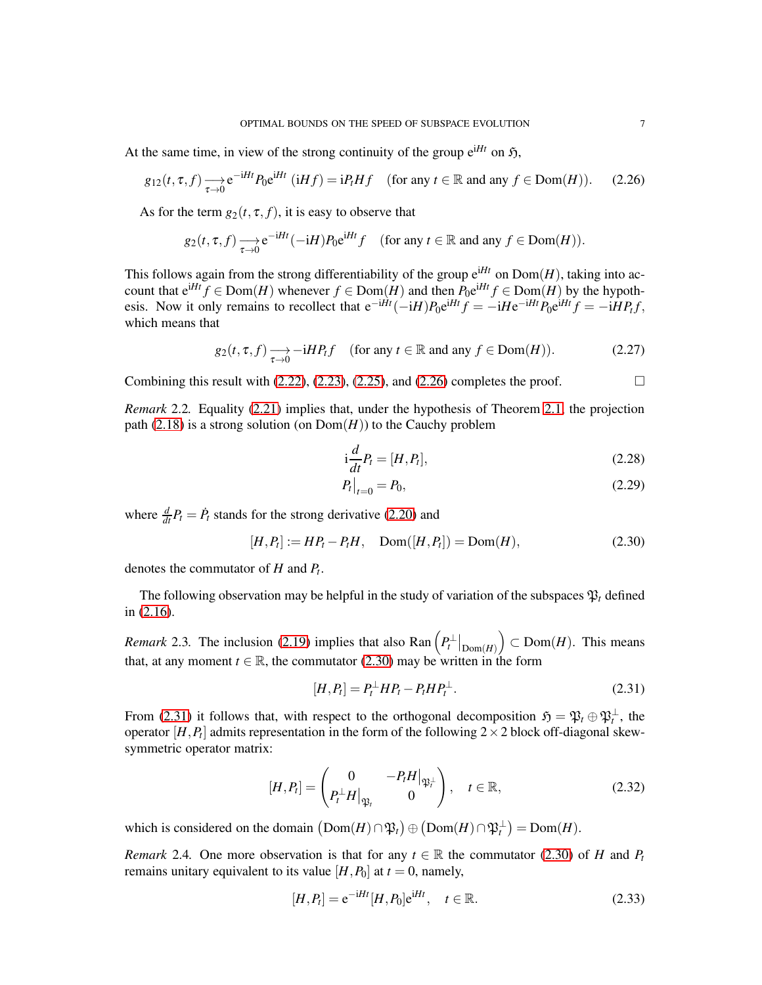At the same time, in view of the strong continuity of the group  $e^{iHt}$  on  $\mathfrak{H}$ ,

<span id="page-6-0"></span>
$$
g_{12}(t,\tau,f) \longrightarrow_{\tau \to 0} e^{-iHt} P_0 e^{iHt} \quad (iHf) = iP_t Hf \quad \text{(for any } t \in \mathbb{R} \text{ and any } f \in \text{Dom}(H). \tag{2.26}
$$

As for the term  $g_2(t, \tau, f)$ , it is easy to observe that

$$
g_2(t,\tau,f) \xrightarrow[\tau \to 0]{} e^{-iHt}(-iH)P_0 e^{iHt}f \quad \text{(for any } t \in \mathbb{R} \text{ and any } f \in \text{Dom}(H)\text{)}.
$$

This follows again from the strong differentiability of the group  $e^{iHt}$  on  $Dom(H)$ , taking into account that  $e^{iHt} f \in Dom(H)$  whenever  $f \in Dom(H)$  and then  $P_0e^{iHt} f \in Dom(H)$  by the hypothesis. Now it only remains to recollect that  $e^{-iHt}(-iH)P_0e^{iHt}f = -iHe^{-iHt}P_0e^{iHt}f = -iHP_tf$ , which means that

$$
g_2(t, \tau, f) \longrightarrow_{\tau \to 0} -iHP_t f \quad \text{(for any } t \in \mathbb{R} \text{ and any } f \in \text{Dom}(H)\text{)}.
$$
 (2.27)

Combining this result with  $(2.22)$ ,  $(2.23)$ ,  $(2.25)$ , and  $(2.26)$  completes the proof.

*Remark* 2.2*.* Equality [\(2.21\)](#page-5-5) implies that, under the hypothesis of Theorem [2.1,](#page-5-0) the projection path  $(2.18)$  is a strong solution (on  $Dom(H)$ ) to the Cauchy problem

$$
i\frac{d}{dt}P_t = [H, P_t],\tag{2.28}
$$

$$
P_t|_{t=0} = P_0,\t\t(2.29)
$$

where  $\frac{d}{dt}P_t = \dot{P}_t$  stands for the strong derivative [\(2.20\)](#page-5-6) and

<span id="page-6-1"></span>
$$
[H, P_t] := HP_t - P_t H, \quad \text{Dom}([H, P_t]) = \text{Dom}(H), \tag{2.30}
$$

denotes the commutator of *H* and *P<sup>t</sup>* .

The following observation may be helpful in the study of variation of the subspaces  $\mathfrak{P}_t$  defined in [\(2.16\)](#page-4-2).

<span id="page-6-4"></span>*Remark* 2.3. The inclusion [\(2.19\)](#page-4-5) implies that also  $\text{Ran}\left(P_t^{\perp}|_{\text{Dom}(H)}\right) \subset \text{Dom}(H)$ . This means that, at any moment  $t \in \mathbb{R}$ , the commutator [\(2.30\)](#page-6-1) may be written in the form

<span id="page-6-2"></span>
$$
[H, P_t] = P_t^{\perp} H P_t - P_t H P_t^{\perp}.
$$
\n(2.31)

From [\(2.31\)](#page-6-2) it follows that, with respect to the orthogonal decomposition  $\mathfrak{H} = \mathfrak{P}_t \oplus \mathfrak{P}_t^{\perp}$ , the operator  $[H, P_t]$  admits representation in the form of the following  $2 \times 2$  block off-diagonal skewsymmetric operator matrix:

$$
[H, P_t] = \begin{pmatrix} 0 & -P_t H|_{\mathfrak{P}_t^{\perp}} \\ P_t^{\perp} H|_{\mathfrak{P}_t} & 0 \end{pmatrix}, \quad t \in \mathbb{R}, \tag{2.32}
$$

which is considered on the domain  $(Dom(H) \cap \mathfrak{P}_t) \oplus (Dom(H) \cap \mathfrak{P}_t^{\perp}) = Dom(H)$ .

<span id="page-6-3"></span>*Remark* 2.4*.* One more observation is that for any  $t \in \mathbb{R}$  the commutator [\(2.30\)](#page-6-1) of *H* and *P*<sub>t</sub> remains unitary equivalent to its value  $[H, P_0]$  at  $t = 0$ , namely,

$$
[H, P_t] = e^{-iHt} [H, P_0] e^{iHt}, \quad t \in \mathbb{R}.
$$
 (2.33)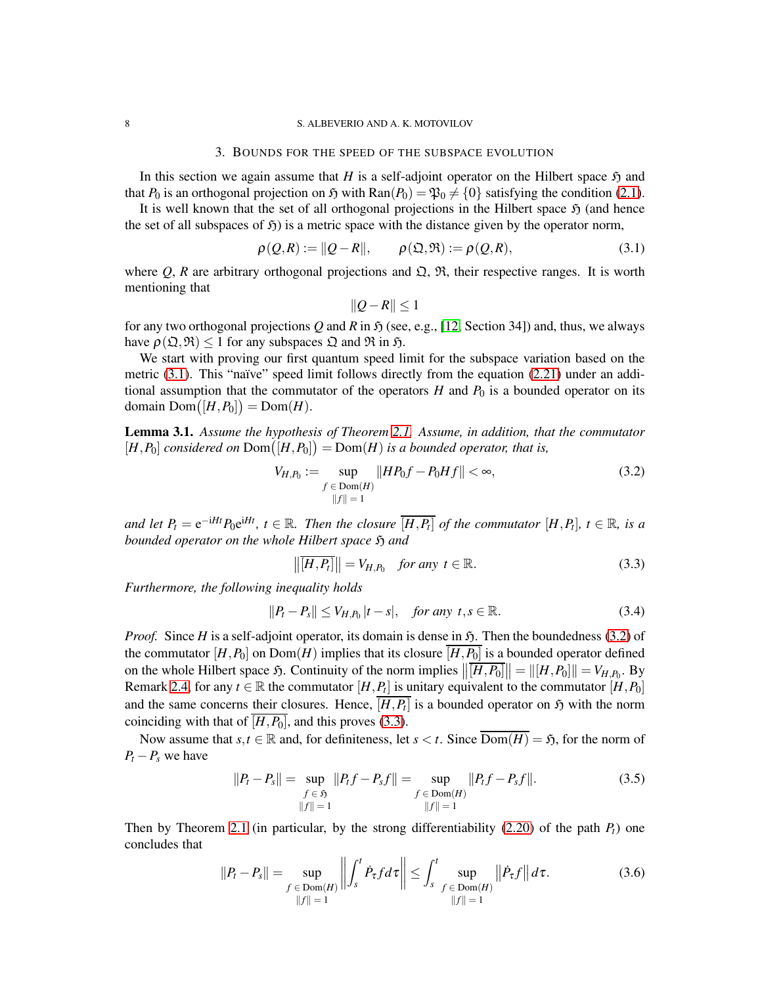#### <span id="page-7-0"></span>8 S. ALBEVERIO AND A. K. MOTOVILOV

### 3. BOUNDS FOR THE SPEED OF THE SUBSPACE EVOLUTION

In this section we again assume that *H* is a self-adjoint operator on the Hilbert space  $\mathfrak{H}$  and that  $P_0$  is an orthogonal projection on  $\tilde{p}$  with Ran( $P_0$ ) =  $\mathfrak{P}_0 \neq \{0\}$  satisfying the condition [\(2.1\)](#page-3-1).

It is well known that the set of all orthogonal projections in the Hilbert space  $\mathfrak{H}$  (and hence the set of all subspaces of  $\mathfrak{H}$ ) is a metric space with the distance given by the operator norm,

<span id="page-7-1"></span>
$$
\rho(Q,R) := ||Q - R||, \qquad \rho(\mathfrak{Q}, \mathfrak{R}) := \rho(Q,R), \tag{3.1}
$$

where *Q*, *R* are arbitrary orthogonal projections and  $\Omega$ ,  $\mathfrak{R}$ , their respective ranges. It is worth mentioning that

$$
||Q - R|| \le 1
$$

for any two orthogonal projections Q and R in  $\mathfrak{H}$  (see, e.g., [\[12,](#page-14-11) Section 34]) and, thus, we always have  $\rho(\mathfrak{Q}, \mathfrak{R}) \leq 1$  for any subspaces  $\mathfrak{Q}$  and  $\mathfrak{R}$  in  $\mathfrak{H}$ .

We start with proving our first quantum speed limit for the subspace variation based on the metric  $(3.1)$ . This "naïve" speed limit follows directly from the equation  $(2.21)$  under an additional assumption that the commutator of the operators  $H$  and  $P_0$  is a bounded operator on its domain  $Dom([H, P_0]) = Dom(H)$ .

<span id="page-7-5"></span>Lemma 3.1. *Assume the hypothesis of Theorem [2.1.](#page-5-0) Assume, in addition, that the commutator*  $[H, P_0]$  *considered on*  $Dom([H, P_0]) = Dom(H)$  *is a bounded operator, that is,* 

<span id="page-7-2"></span>
$$
V_{H,P_0} := \sup_{\substack{f \in \text{Dom}(H) \\ ||f|| = 1}} ||HP_0 f - P_0 H f|| < \infty,
$$
\n(3.2)

*and let*  $P_t = e^{-iHt}P_0e^{iHt}$ ,  $t \in \mathbb{R}$ . Then the closure  $\overline{[H, P_t]}$  of the commutator  $[H, P_t]$ ,  $t \in \mathbb{R}$ , is a *bounded operator on the whole Hilbert space*  $\mathfrak{H}$  *and* 

<span id="page-7-3"></span>
$$
\left\| \overline{[H, P_t]} \right\| = V_{H, P_0} \quad \text{for any } t \in \mathbb{R}.
$$
 (3.3)

*Furthermore, the following inequality holds*

<span id="page-7-4"></span>
$$
||P_t - P_s|| \le V_{H,P_0} |t - s|, \quad \text{for any } t, s \in \mathbb{R}.
$$

*Proof.* Since *H* is a self-adjoint operator, its domain is dense in  $\mathfrak{H}$ . Then the boundedness [\(3.2\)](#page-7-2) of the commutator  $[H, P_0]$  on  $Dom(H)$  implies that its closure  $\overline{[H, P_0]}$  is a bounded operator defined on the whole Hilbert space  $\mathfrak{H}$ . Continuity of the norm implies  $\left\| \overline{[H, P_0]} \right\| = \left\| [H, P_0] \right\| = V_{H, P_0}$ . By Remark [2.4,](#page-6-3) for any  $t \in \mathbb{R}$  the commutator  $[H, P_t]$  is unitary equivalent to the commutator  $[H, P_0]$ and the same concerns their closures. Hence,  $[H, P_t]$  is a bounded operator on  $\mathfrak{H}$  with the norm coinciding with that of  $\overline{[H,P_0]}$ , and this proves [\(3.3\)](#page-7-3).

Now assume that  $s, t \in \mathbb{R}$  and, for definiteness, let  $s < t$ . Since  $\overline{\text{Dom}(H)} = \mathfrak{H}$ , for the norm of  $P_t - P_s$  we have

$$
||P_t - P_s|| = \sup_{f \in \mathfrak{H}} ||P_t f - P_s f|| = \sup_{f \in \text{Dom}(H)} ||P_t f - P_s f||.
$$
\n(3.5)\n  
\n
$$
||f|| = 1
$$

Then by Theorem [2.1](#page-5-0) (in particular, by the strong differentiability  $(2.20)$  of the path  $P_t$ ) one concludes that

$$
||P_t - P_s|| = \sup_{\substack{f \in \text{Dom}(H) \\ ||f|| = 1}} \left\| \int_s^t \dot{P}_\tau f d\tau \right\| \le \int_s^t \sup_{\substack{f \in \text{Dom}(H) \\ ||f|| = 1}} \left\| \dot{P}_\tau f \right\| d\tau. \tag{3.6}
$$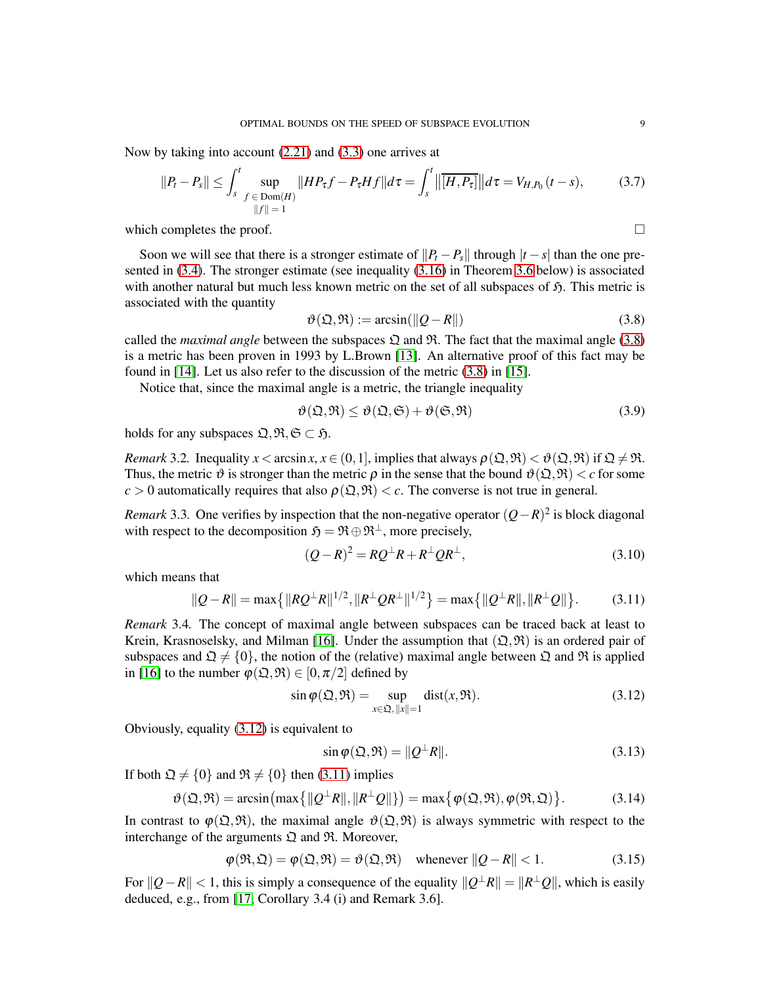Now by taking into account [\(2.21\)](#page-5-5) and [\(3.3\)](#page-7-3) one arrives at

<span id="page-8-0"></span>
$$
||P_t - P_s|| \le \int_s^t \sup_{\substack{f \in \text{Dom}(H) \\ ||f|| = 1}} ||HP_\tau f - P_\tau H f|| d\tau = \int_s^t ||\overline{[H, P_\tau]}|| d\tau = V_{H, P_0} (t - s), \tag{3.7}
$$

which completes the proof.  $\Box$ 

Soon we will see that there is a stronger estimate of  $||P_t - P_s||$  through  $|t - s|$  than the one presented in [\(3.4\)](#page-7-4). The stronger estimate (see inequality [\(3.16\)](#page-9-1) in Theorem [3.6](#page-9-0) below) is associated with another natural but much less known metric on the set of all subspaces of  $\mathfrak{H}$ . This metric is associated with the quantity

<span id="page-8-1"></span>
$$
\vartheta(\mathfrak{Q}, \mathfrak{R}) := \arcsin(\|Q - R\|)
$$
\n(3.8)

called the *maximal angle* between the subspaces  $\mathfrak{Q}$  and  $\mathfrak{R}$ . The fact that the maximal angle [\(3.8\)](#page-8-1) is a metric has been proven in 1993 by L.Brown [\[13\]](#page-14-12). An alternative proof of this fact may be found in [\[14\]](#page-14-13). Let us also refer to the discussion of the metric [\(3.8\)](#page-8-1) in [\[15\]](#page-14-14).

Notice that, since the maximal angle is a metric, the triangle inequality

<span id="page-8-5"></span>
$$
\vartheta(\mathfrak{Q}, \mathfrak{R}) \le \vartheta(\mathfrak{Q}, \mathfrak{S}) + \vartheta(\mathfrak{S}, \mathfrak{R})
$$
\n(3.9)

holds for any subspaces  $\mathfrak{Q}, \mathfrak{R}, \mathfrak{S} \subset \mathfrak{H}$ .

<span id="page-8-6"></span>*Remark* 3.2*.* Inequality  $x < \arcsin x$ ,  $x \in (0, 1]$ , implies that always  $\rho(\mathfrak{Q}, \mathfrak{R}) < \vartheta(\mathfrak{Q}, \mathfrak{R})$  if  $\mathfrak{Q} \neq \mathfrak{R}$ . Thus, the metric  $\vartheta$  is stronger than the metric  $\rho$  in the sense that the bound  $\vartheta(\mathfrak{Q}, \mathfrak{R}) < c$  for some  $c > 0$  automatically requires that also  $\rho(\mathfrak{Q}, \mathfrak{R}) < c$ . The converse is not true in general.

*Remark* 3.3. One verifies by inspection that the non-negative operator  $(Q - R)^2$  is block diagonal with respect to the decomposition  $\mathfrak{H} = \mathfrak{R} \oplus \mathfrak{R}^{\perp}$ , more precisely,

$$
(Q - R)^2 = RQ^{\perp}R + R^{\perp}QR^{\perp}, \qquad (3.10)
$$

which means that

<span id="page-8-3"></span>
$$
||Q - R|| = \max\{|RQ^{\perp}R\|^{1/2}, \|R^{\perp}QR^{\perp}\|^{1/2}\} = \max\{|Q^{\perp}R\|, \|R^{\perp}Q\|\}.
$$
 (3.11)

*Remark* 3.4*.* The concept of maximal angle between subspaces can be traced back at least to Krein, Krasnoselsky, and Milman [\[16\]](#page-14-15). Under the assumption that  $(\mathfrak{Q}, \mathfrak{R})$  is an ordered pair of subspaces and  $\mathfrak{Q} \neq \{0\}$ , the notion of the (relative) maximal angle between  $\mathfrak{Q}$  and  $\mathfrak{R}$  is applied in [\[16\]](#page-14-15) to the number  $\varphi(\mathfrak{Q}, \mathfrak{R}) \in [0, \pi/2]$  defined by

<span id="page-8-2"></span>
$$
\sin \varphi(\mathfrak{Q}, \mathfrak{R}) = \sup_{x \in \mathfrak{Q}, ||x|| = 1} \text{dist}(x, \mathfrak{R}).\tag{3.12}
$$

Obviously, equality [\(3.12\)](#page-8-2) is equivalent to

$$
\sin \varphi(\mathfrak{Q}, \mathfrak{R}) = ||Q^{\perp}R||. \tag{3.13}
$$

If both  $\mathfrak{Q} \neq \{0\}$  and  $\mathfrak{R} \neq \{0\}$  then [\(3.11\)](#page-8-3) implies

<span id="page-8-4"></span>
$$
\vartheta(\mathfrak{Q}, \mathfrak{R}) = \arcsin\left(\max\left\{||\mathcal{Q}^{\perp}R||, ||R^{\perp}\mathcal{Q}||\right\}\right) = \max\left\{\varphi(\mathfrak{Q}, \mathfrak{R}), \varphi(\mathfrak{R}, \mathfrak{Q})\right\}.
$$
 (3.14)

In contrast to  $\varphi(\mathfrak{Q}, \mathfrak{R})$ , the maximal angle  $\vartheta(\mathfrak{Q}, \mathfrak{R})$  is always symmetric with respect to the interchange of the arguments  $\mathfrak Q$  and  $\mathfrak R$ . Moreover,

$$
\varphi(\mathfrak{R}, \mathfrak{Q}) = \varphi(\mathfrak{Q}, \mathfrak{R}) = \vartheta(\mathfrak{Q}, \mathfrak{R}) \quad \text{whenever } ||Q - R|| < 1. \tag{3.15}
$$

*For*  $||Q-R|| < 1$ , this is simply a consequence of the equality  $||Q<sup>⊥</sup>R|| = ||R<sup>⊥</sup>Q||$ , which is easily deduced, e.g., from [\[17,](#page-14-16) Corollary 3.4 (i) and Remark 3.6].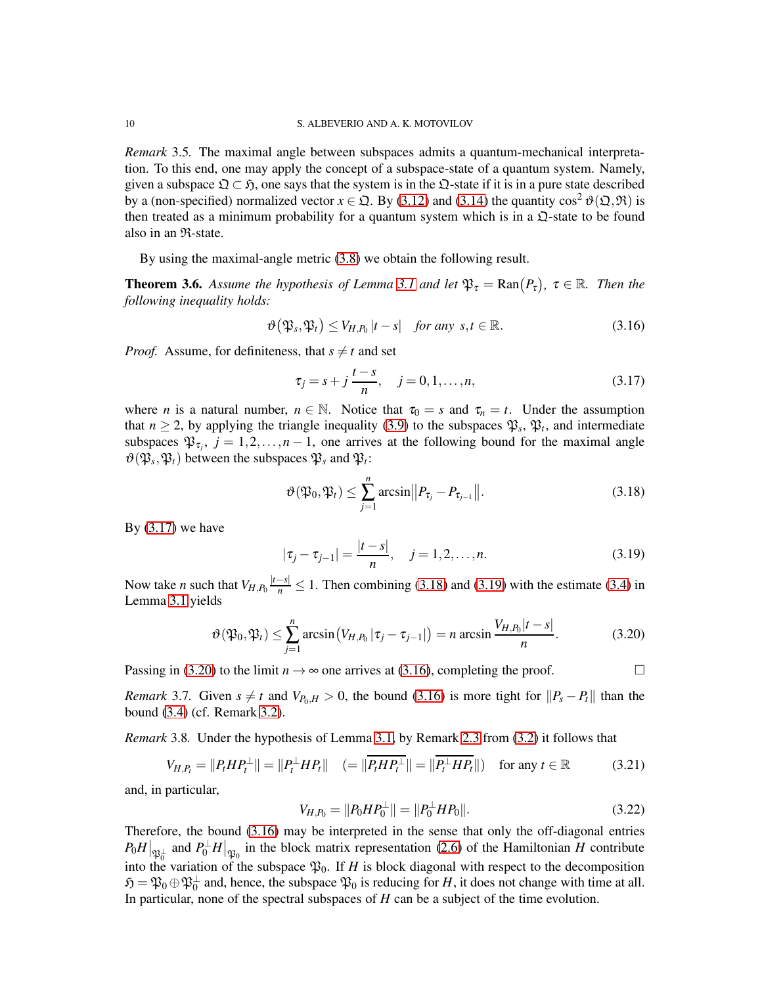*Remark* 3.5*.* The maximal angle between subspaces admits a quantum-mechanical interpretation. To this end, one may apply the concept of a subspace-state of a quantum system. Namely, given a subspace  $\mathfrak{Q} \subset \mathfrak{H}$ , one says that the system is in the  $\mathfrak{Q}$ -state if it is in a pure state described by a (non-specified) normalized vector  $x \in \Omega$ . By [\(3.12\)](#page-8-2) and [\(3.14\)](#page-8-4) the quantity cos<sup>2</sup>  $\vartheta(\Omega,\mathfrak{R})$  is then treated as a minimum probability for a quantum system which is in a  $\mathfrak{Q}$ -state to be found also in an R-state.

By using the maximal-angle metric [\(3.8\)](#page-8-1) we obtain the following result.

<span id="page-9-0"></span>**Theorem 3.6.** Assume the hypothesis of Lemma [3.1](#page-7-5) and let  $\mathfrak{P}_{\tau} = \text{Ran}(P_{\tau})$ ,  $\tau \in \mathbb{R}$ . Then the *following inequality holds:*

<span id="page-9-1"></span>
$$
\vartheta(\mathfrak{P}_s, \mathfrak{P}_t) \le V_{H, P_0} |t - s| \quad \text{for any } s, t \in \mathbb{R}.
$$
 (3.16)

*Proof.* Assume, for definiteness, that  $s \neq t$  and set

<span id="page-9-2"></span>
$$
\tau_j = s + j \frac{t - s}{n}, \quad j = 0, 1, \dots, n,
$$
\n(3.17)

where *n* is a natural number,  $n \in \mathbb{N}$ . Notice that  $\tau_0 = s$  and  $\tau_n = t$ . Under the assumption that  $n \ge 2$ , by applying the triangle inequality [\(3.9\)](#page-8-5) to the subspaces  $\mathfrak{P}_s$ ,  $\mathfrak{P}_t$ , and intermediate subspaces  $\mathfrak{P}_{\tau_j}$ ,  $j = 1, 2, ..., n - 1$ , one arrives at the following bound for the maximal angle  $\vartheta(\mathfrak{P}_s, \mathfrak{P}_t)$  between the subspaces  $\mathfrak{P}_s$  and  $\mathfrak{P}_t$ :

<span id="page-9-3"></span>
$$
\vartheta(\mathfrak{P}_0, \mathfrak{P}_t) \le \sum_{j=1}^n \arcsin ||P_{\tau_j} - P_{\tau_{j-1}}||. \tag{3.18}
$$

By  $(3.17)$  we have

<span id="page-9-5"></span><span id="page-9-4"></span>
$$
|\tau_j - \tau_{j-1}| = \frac{|t - s|}{n}, \quad j = 1, 2, \dots, n.
$$
 (3.19)

Now take *n* such that  $V_{H,P_0}$   $\frac{|t-s|}{n} \leq 1$ . Then combining [\(3.18\)](#page-9-3) and [\(3.19\)](#page-9-4) with the estimate [\(3.4\)](#page-7-4) in Lemma [3.1](#page-7-5) yields

$$
\vartheta(\mathfrak{P}_0,\mathfrak{P}_t) \leq \sum_{j=1}^n \arcsin\big(V_{H,P_0}|\tau_j-\tau_{j-1}|\big) = n \arcsin\frac{V_{H,P_0}|t-s|}{n}.\tag{3.20}
$$

Passing in [\(3.20\)](#page-9-5) to the limit  $n \to \infty$  one arrives at [\(3.16\)](#page-9-1), completing the proof.

*Remark* 3.7. Given  $s \neq t$  and  $V_{P_0,H} > 0$ , the bound [\(3.16\)](#page-9-1) is more tight for  $\|P_s - P_t\|$  than the bound [\(3.4\)](#page-7-4) (cf. Remark [3.2\)](#page-8-6).

<span id="page-9-6"></span>*Remark* 3.8*.* Under the hypothesis of Lemma [3.1,](#page-7-5) by Remark [2.3](#page-6-4) from [\(3.2\)](#page-7-2) it follows that

$$
V_{H,P_t} = ||P_t H P_t^{\perp}|| = ||P_t^{\perp} H P_t|| \quad (= ||\overline{P_t H P_t^{\perp}}|| = ||\overline{P_t^{\perp} H P_t}||) \quad \text{for any } t \in \mathbb{R}
$$
 (3.21)

and, in particular,

<span id="page-9-7"></span>
$$
V_{H,P_0} = ||P_0 H P_0^{\perp}|| = ||P_0^{\perp} H P_0||. \tag{3.22}
$$

Therefore, the bound [\(3.16\)](#page-9-1) may be interpreted in the sense that only the off-diagonal entries  $P_0H|_{\mathfrak{P}_0^{\perp}}$  and  $P_0^{\perp}H|_{\mathfrak{P}_0}$  in the block matrix representation [\(2.6\)](#page-3-5) of the Hamiltonian *H* contribute into the variation of the subspace  $\mathfrak{P}_0$ . If *H* is block diagonal with respect to the decomposition  $\mathfrak{H} = \mathfrak{P}_0 \oplus \mathfrak{P}_0^{\perp}$  and, hence, the subspace  $\mathfrak{P}_0$  is reducing for *H*, it does not change with time at all. In particular, none of the spectral subspaces of *H* can be a subject of the time evolution.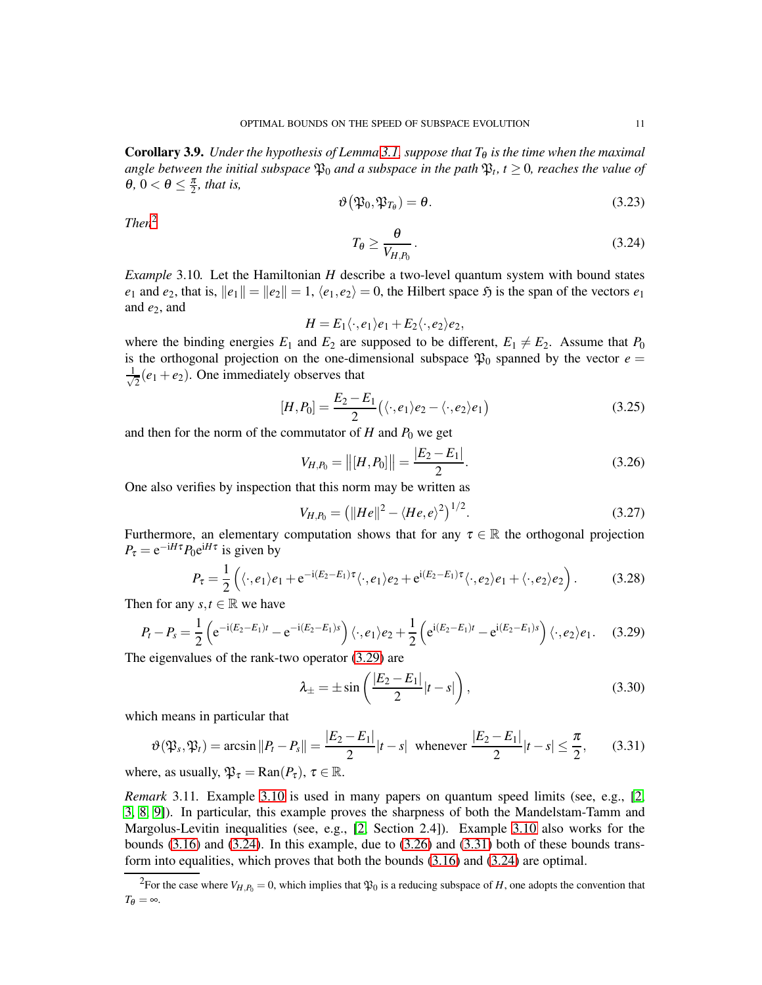<span id="page-10-6"></span>**Corollary 3.9.** *Under the hypothesis of Lemma* [3.1,](#page-7-5) *suppose that*  $T_{\theta}$  *is the time when the maximal angle between the initial subspace*  $\mathfrak{P}_0$  *and a subspace in the path*  $\mathfrak{P}_t$ ,  $t \geq 0$ , *reaches the value of*  $\theta$ ,  $0 < \theta \leq \frac{\pi}{2}$ *, that is,* 

$$
\vartheta(\mathfrak{P}_0, \mathfrak{P}_{T_{\theta}}) = \theta. \tag{3.23}
$$

*Then*[2](#page-10-0)

<span id="page-10-3"></span>
$$
T_{\theta} \ge \frac{\theta}{V_{H,P_0}}\,. \tag{3.24}
$$

<span id="page-10-2"></span>*Example* 3.10*.* Let the Hamiltonian *H* describe a two-level quantum system with bound states *e*<sub>1</sub> and *e*<sub>2</sub>, that is,  $||e_1|| = ||e_2|| = 1$ ,  $\langle e_1, e_2 \rangle = 0$ , the Hilbert space  $\mathfrak{H}$  is the span of the vectors  $e_1$ and  $e_2$ , and

$$
H=E_1\langle \cdot, e_1\rangle e_1+E_2\langle \cdot, e_2\rangle e_2,
$$

where the binding energies  $E_1$  and  $E_2$  are supposed to be different,  $E_1 \neq E_2$ . Assume that  $P_0$ is the orthogonal projection on the one-dimensional subspace  $\mathfrak{P}_0$  spanned by the vector  $e =$ √ 1  $\frac{1}{2}(e_1 + e_2)$ . One immediately observes that

$$
[H,P_0] = \frac{E_2 - E_1}{2} \left( \langle \cdot, e_1 \rangle e_2 - \langle \cdot, e_2 \rangle e_1 \right) \tag{3.25}
$$

and then for the norm of the commutator of  $H$  and  $P_0$  we get

<span id="page-10-4"></span>
$$
V_{H,P_0} = ||[H, P_0]|| = \frac{|E_2 - E_1|}{2}.
$$
\n(3.26)

One also verifies by inspection that this norm may be written as

<span id="page-10-7"></span>
$$
V_{H,P_0} = (||He||^2 - \langle He, e \rangle^2)^{1/2}.
$$
\n(3.27)

Furthermore, an elementary computation shows that for any  $\tau \in \mathbb{R}$  the orthogonal projection  $P_{\tau} = e^{-iH\tau} P_0 e^{iH\tau}$  is given by

$$
P_{\tau} = \frac{1}{2} \left( \langle \cdot, e_1 \rangle e_1 + e^{-i(E_2 - E_1)\tau} \langle \cdot, e_1 \rangle e_2 + e^{i(E_2 - E_1)\tau} \langle \cdot, e_2 \rangle e_1 + \langle \cdot, e_2 \rangle e_2 \right). \tag{3.28}
$$

Then for any  $s, t \in \mathbb{R}$  we have

<span id="page-10-1"></span>
$$
P_t - P_s = \frac{1}{2} \left( e^{-i(E_2 - E_1)t} - e^{-i(E_2 - E_1)s} \right) \langle \cdot, e_1 \rangle e_2 + \frac{1}{2} \left( e^{i(E_2 - E_1)t} - e^{i(E_2 - E_1)s} \right) \langle \cdot, e_2 \rangle e_1.
$$
 (3.29)

The eigenvalues of the rank-two operator [\(3.29\)](#page-10-1) are

$$
\lambda_{\pm} = \pm \sin\left(\frac{|E_2 - E_1|}{2}|t - s|\right),\tag{3.30}
$$

which means in particular that

<span id="page-10-5"></span>
$$
\vartheta(\mathfrak{P}_s, \mathfrak{P}_t) = \arcsin \|P_t - P_s\| = \frac{|E_2 - E_1|}{2} |t - s| \text{ whenever } \frac{|E_2 - E_1|}{2} |t - s| \le \frac{\pi}{2}, \qquad (3.31)
$$

where, as usually,  $\mathfrak{P}_{\tau} = \text{Ran}(P_{\tau}), \tau \in \mathbb{R}$ .

*Remark* 3.11*.* Example [3.10](#page-10-2) is used in many papers on quantum speed limits (see, e.g., [\[2,](#page-14-1) [3,](#page-14-2) [8,](#page-14-7) [9\]](#page-14-8)). In particular, this example proves the sharpness of both the Mandelstam-Tamm and Margolus-Levitin inequalities (see, e.g., [\[2,](#page-14-1) Section 2.4]). Example [3.10](#page-10-2) also works for the bounds  $(3.16)$  and  $(3.24)$ . In this example, due to  $(3.26)$  and  $(3.31)$  both of these bounds transform into equalities, which proves that both the bounds [\(3.16\)](#page-9-1) and [\(3.24\)](#page-10-3) are optimal.

<span id="page-10-0"></span><sup>&</sup>lt;sup>2</sup>For the case where  $V_{H,P_0} = 0$ , which implies that  $\mathfrak{P}_0$  is a reducing subspace of *H*, one adopts the convention that  $T_{\theta} = \infty$ .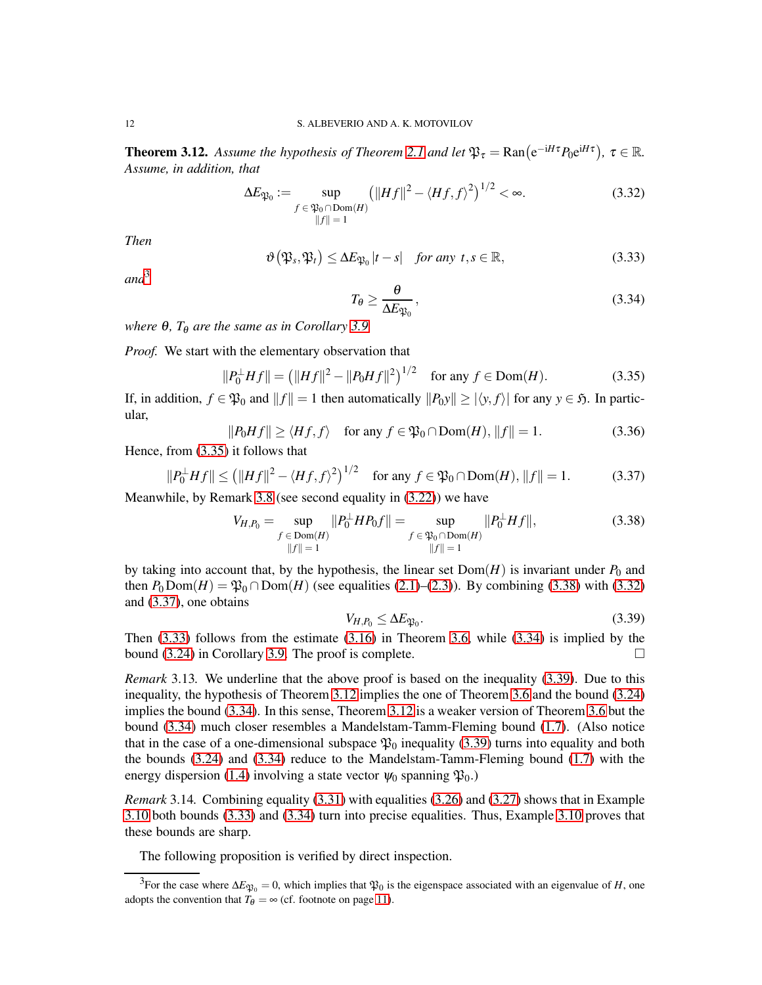<span id="page-11-0"></span>**Theorem 3.12.** Assume the hypothesis of Theorem [2.1](#page-5-0) and let  $\mathfrak{P}_{\tau} = \text{Ran}(e^{-iH\tau}P_0e^{iH\tau})$ ,  $\tau \in \mathbb{R}$ . *Assume, in addition, that*

<span id="page-11-4"></span>
$$
\Delta E_{\mathfrak{P}_0} := \sup_{\substack{f \in \mathfrak{P}_0 \cap \text{Dom}(H) \\ ||f|| = 1}} \left( ||Hf||^2 - \langle Hf, f \rangle^2 \right)^{1/2} < \infty. \tag{3.32}
$$

*Then*

<span id="page-11-6"></span>
$$
\vartheta(\mathfrak{P}_s, \mathfrak{P}_t) \le \Delta E_{\mathfrak{P}_0}|t - s| \quad \text{for any } t, s \in \mathbb{R}, \tag{3.33}
$$

*and*[3](#page-11-1)

<span id="page-11-7"></span>
$$
T_{\theta} \ge \frac{\theta}{\Delta E_{\mathfrak{P}_0}},\tag{3.34}
$$

*where*  $\theta$ *, T* $_{\theta}$  *are the same as in Corollary* [3.9.](#page-10-6)

*Proof.* We start with the elementary observation that

<span id="page-11-2"></span>
$$
||P_0^{\perp} Hf|| = (||Hf||^2 - ||P_0 Hf||^2)^{1/2} \quad \text{for any } f \in \text{Dom}(H). \tag{3.35}
$$

If, in addition,  $f \in \mathfrak{P}_0$  and  $||f|| = 1$  then automatically  $||P_0y|| \ge |\langle y, f \rangle|$  for any  $y \in \mathfrak{H}$ . In particular,

$$
||P_0Hf|| \ge \langle Hf, f \rangle \quad \text{for any } f \in \mathfrak{P}_0 \cap \text{Dom}(H), ||f|| = 1. \tag{3.36}
$$

Hence, from [\(3.35\)](#page-11-2) it follows that

<span id="page-11-5"></span>
$$
||P_0^{\perp} Hf|| \le (||Hf||^2 - \langle Hf, f \rangle^2)^{1/2} \quad \text{for any } f \in \mathfrak{P}_0 \cap \text{Dom}(H), ||f|| = 1. \tag{3.37}
$$

Meanwhile, by Remark [3.8](#page-9-6) (see second equality in [\(3.22\)](#page-9-7)) we have

<span id="page-11-3"></span>
$$
V_{H,P_0} = \sup_{\substack{f \in \text{Dom}(H) \\ ||f|| = 1}} \|P_0^{\perp} H P_0 f\| = \sup_{\substack{f \in \mathfrak{P}_0 \cap \text{Dom}(H) \\ ||f|| = 1}} \|P_0^{\perp} H f\|,
$$
(3.38)

by taking into account that, by the hypothesis, the linear set  $Dom(H)$  is invariant under  $P_0$  and then  $P_0$ Dom(*H*) =  $\mathfrak{P}_0 \cap \text{Dom}(H)$  (see equalities [\(2.1\)](#page-3-1)–[\(2.3\)](#page-3-4)). By combining [\(3.38\)](#page-11-3) with [\(3.32\)](#page-11-4) and [\(3.37\)](#page-11-5), one obtains

<span id="page-11-8"></span>
$$
V_{H,P_0} \le \Delta E_{\mathfrak{P}_0}.\tag{3.39}
$$

Then [\(3.33\)](#page-11-6) follows from the estimate [\(3.16\)](#page-9-1) in Theorem [3.6,](#page-9-0) while [\(3.34\)](#page-11-7) is implied by the bound [\(3.24\)](#page-10-3) in Corollary [3.9.](#page-10-6) The proof is complete.  $\Box$ 

*Remark* 3.13. We underline that the above proof is based on the inequality [\(3.39\)](#page-11-8). Due to this inequality, the hypothesis of Theorem [3.12](#page-11-0) implies the one of Theorem [3.6](#page-9-0) and the bound [\(3.24\)](#page-10-3) implies the bound [\(3.34\)](#page-11-7). In this sense, Theorem [3.12](#page-11-0) is a weaker version of Theorem [3.6](#page-9-0) but the bound [\(3.34\)](#page-11-7) much closer resembles a Mandelstam-Tamm-Fleming bound [\(1.7\)](#page-1-3). (Also notice that in the case of a one-dimensional subspace  $\mathfrak{P}_0$  inequality [\(3.39\)](#page-11-8) turns into equality and both the bounds [\(3.24\)](#page-10-3) and [\(3.34\)](#page-11-7) reduce to the Mandelstam-Tamm-Fleming bound [\(1.7\)](#page-1-3) with the energy dispersion [\(1.4\)](#page-1-2) involving a state vector  $\psi_0$  spanning  $\mathfrak{P}_0$ .)

<span id="page-11-9"></span>*Remark* 3.14*.* Combining equality [\(3.31\)](#page-10-5) with equalities [\(3.26\)](#page-10-4) and [\(3.27\)](#page-10-7) shows that in Example [3.10](#page-10-2) both bounds [\(3.33\)](#page-11-6) and [\(3.34\)](#page-11-7) turn into precise equalities. Thus, Example [3.10](#page-10-2) proves that these bounds are sharp.

The following proposition is verified by direct inspection.

<span id="page-11-1"></span><sup>&</sup>lt;sup>3</sup>For the case where  $\Delta E_{\mathfrak{P}_0} = 0$ , which implies that  $\mathfrak{P}_0$  is the eigenspace associated with an eigenvalue of *H*, one adopts the convention that  $T_{\theta} = \infty$  (cf. footnote on page [11\)](#page-10-0).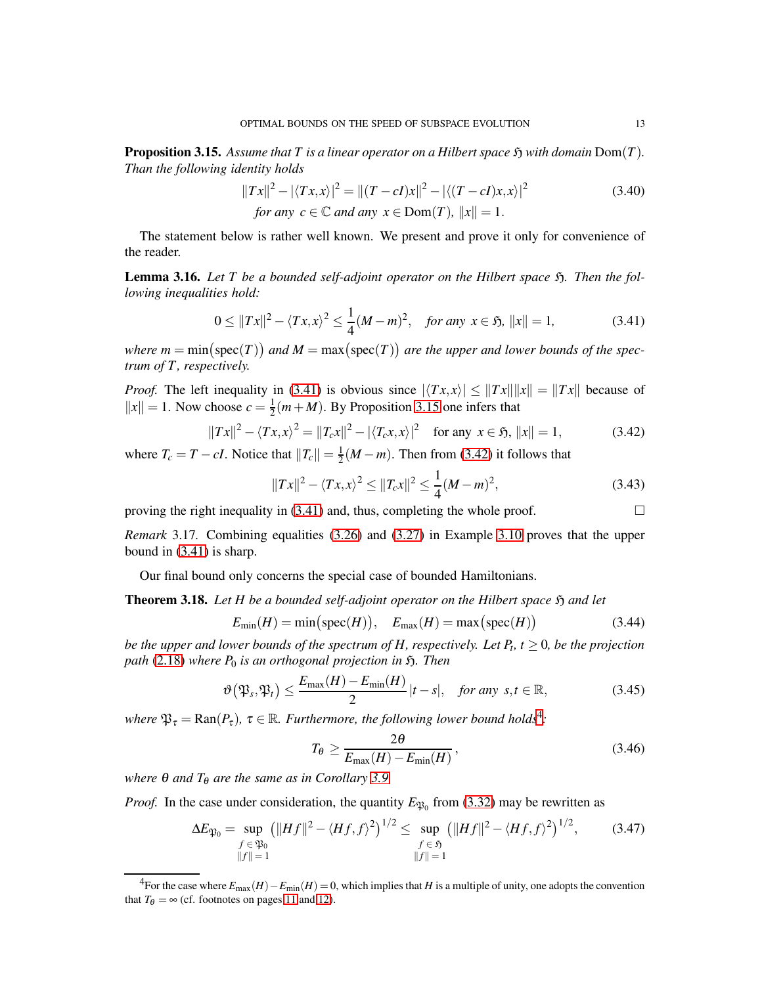<span id="page-12-2"></span>**Proposition 3.15.** Assume that T is a linear operator on a Hilbert space  $\mathfrak{H}$  with domain Dom(T). *Than the following identity holds*

$$
||Tx||^2 - |\langle Tx, x \rangle|^2 = ||(T - cI)x||^2 - |\langle (T - cI)x, x \rangle|^2
$$
  
for any  $c \in \mathbb{C}$  and any  $x \in \text{Dom}(T)$ ,  $||x|| = 1$ . (3.40)

The statement below is rather well known. We present and prove it only for convenience of the reader.

<span id="page-12-5"></span>Lemma 3.16. Let T be a bounded self-adjoint operator on the Hilbert space  $\mathfrak{H}$ . Then the fol*lowing inequalities hold:*

<span id="page-12-1"></span>
$$
0 \le ||Tx||^2 - \langle Tx, x \rangle^2 \le \frac{1}{4} (M - m)^2, \quad \text{for any } x \in \mathfrak{H}, \ ||x|| = 1,
$$
 (3.41)

where  $m = min(spec(T))$  and  $M = max(spec(T))$  are the upper and lower bounds of the spec*trum of T , respectively.*

*Proof.* The left inequality in [\(3.41\)](#page-12-1) is obvious since  $|\langle Tx, x \rangle| \le ||Tx|| ||x|| = ||Tx||$  because of  $||x|| = 1$ . Now choose  $c = \frac{1}{2}$  $\frac{1}{2}(m + M)$ . By Proposition [3.15](#page-12-2) one infers that

<span id="page-12-3"></span>
$$
||Tx||^2 - \langle Tx, x \rangle^2 = ||T_c x||^2 - |\langle T_c x, x \rangle|^2 \quad \text{for any } x \in \mathfrak{H}, ||x|| = 1,
$$
 (3.42)

where  $T_c = T - cI$ . Notice that  $||T_c|| = \frac{1}{2}$  $\frac{1}{2}(M-m)$ . Then from [\(3.42\)](#page-12-3) it follows that

$$
||Tx||^2 - \langle Tx, x \rangle^2 \le ||T_c x||^2 \le \frac{1}{4} (M - m)^2,
$$
\n(3.43)

proving the right inequality in  $(3.41)$  and, thus, completing the whole proof.  $\Box$ 

*Remark* 3.17*.* Combining equalities [\(3.26\)](#page-10-4) and [\(3.27\)](#page-10-7) in Example [3.10](#page-10-2) proves that the upper bound in [\(3.41\)](#page-12-1) is sharp.

Our final bound only concerns the special case of bounded Hamiltonians.

<span id="page-12-0"></span>**Theorem 3.18.** Let H be a bounded self-adjoint operator on the Hilbert space  $\mathfrak{H}$  and let

$$
E_{\min}(H) = \min\big(\text{spec}(H)\big), \quad E_{\max}(H) = \max\big(\text{spec}(H)\big) \tag{3.44}
$$

*be the upper and lower bounds of the spectrum of H, respectively. Let*  $P_t$ *,*  $t \geq 0$ *, be the projection path* [\(2.18\)](#page-4-4) *where*  $P_0$  *is an orthogonal projection in*  $\tilde{y}$ *. Then* 

<span id="page-12-6"></span>
$$
\vartheta\big(\mathfrak{P}_s, \mathfrak{P}_t\big) \le \frac{E_{\max}(H) - E_{\min}(H)}{2} |t - s|, \quad \text{for any } s, t \in \mathbb{R}, \tag{3.45}
$$

 $where \mathfrak{P}_{\tau} = \text{Ran}(P_{\tau}), \tau \in \mathbb{R}$ . *Furthermore, the following lower bound holds*<sup>[4](#page-12-4)</sup>:

<span id="page-12-7"></span>
$$
T_{\theta} \ge \frac{2\theta}{E_{\text{max}}(H) - E_{\text{min}}(H)},
$$
\n(3.46)

*where*  $\theta$  *and*  $T_{\theta}$  *are the same as in Corollary* [3.9.](#page-10-6)

*Proof.* In the case under consideration, the quantity  $E_{\mathfrak{P}_0}$  from [\(3.32\)](#page-11-4) may be rewritten as

$$
\Delta E_{\mathfrak{P}_0} = \sup_{\substack{f \in \mathfrak{P}_0 \\ ||f|| = 1}} \left( ||Hf||^2 - \langle Hf, f \rangle^2 \right)^{1/2} \le \sup_{\substack{f \in \mathfrak{H} \\ ||f|| = 1}} \left( ||Hf||^2 - \langle Hf, f \rangle^2 \right)^{1/2},\tag{3.47}
$$

<span id="page-12-4"></span><sup>&</sup>lt;sup>4</sup>For the case where  $E_{\text{max}}(H) - E_{\text{min}}(H) = 0$ , which implies that *H* is a multiple of unity, one adopts the convention that  $T_{\theta} = \infty$  (cf. footnotes on pages [11](#page-10-0) and [12\)](#page-11-1).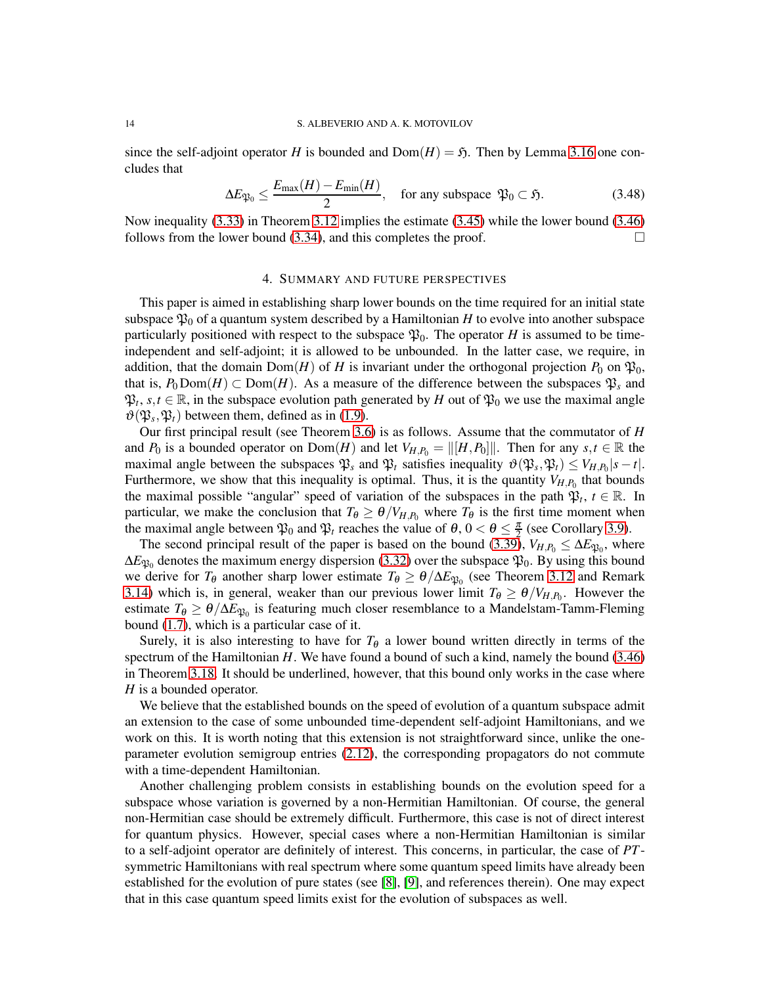since the self-adjoint operator *H* is bounded and  $Dom(H) = \mathfrak{H}$ . Then by Lemma [3.16](#page-12-5) one concludes that

$$
\Delta E_{\mathfrak{P}_0} \le \frac{E_{\text{max}}(H) - E_{\text{min}}(H)}{2}, \quad \text{for any subspace } \mathfrak{P}_0 \subset \mathfrak{H}. \tag{3.48}
$$

Now inequality [\(3.33\)](#page-11-6) in Theorem [3.12](#page-11-0) implies the estimate [\(3.45\)](#page-12-6) while the lower bound [\(3.46\)](#page-12-7) follows from the lower bound [\(3.34\)](#page-11-7), and this completes the proof.  $\Box$ 

## 4. SUMMARY AND FUTURE PERSPECTIVES

<span id="page-13-0"></span>This paper is aimed in establishing sharp lower bounds on the time required for an initial state subspace  $\mathfrak{P}_0$  of a quantum system described by a Hamiltonian *H* to evolve into another subspace particularly positioned with respect to the subspace  $\mathfrak{P}_0$ . The operator *H* is assumed to be timeindependent and self-adjoint; it is allowed to be unbounded. In the latter case, we require, in addition, that the domain  $Dom(H)$  of *H* is invariant under the orthogonal projection  $P_0$  on  $\mathfrak{P}_0$ , that is,  $P_0 \text{Dom}(H) \subset \text{Dom}(H)$ . As a measure of the difference between the subspaces  $\mathfrak{P}_s$  and  $\mathfrak{P}_t, s, t \in \mathbb{R}$ , in the subspace evolution path generated by *H* out of  $\mathfrak{P}_0$  we use the maximal angle  $\vartheta(\mathfrak{P}_s, \mathfrak{P}_t)$  between them, defined as in [\(1.9\)](#page-2-1).

Our first principal result (see Theorem [3.6\)](#page-9-0) is as follows. Assume that the commutator of *H* and *P*<sub>0</sub> is a bounded operator on Dom(*H*) and let  $V_{H,P_0} = ||[H,P_0]||$ . Then for any  $s, t \in \mathbb{R}$  the maximal angle between the subspaces  $\mathfrak{P}_s$  and  $\mathfrak{P}_t$  satisfies inequality  $\vartheta(\mathfrak{P}_s, \mathfrak{P}_t) \leq V_{H,P_0}|s-t|$ . Furthermore, we show that this inequality is optimal. Thus, it is the quantity  $V_{H,P_0}$  that bounds the maximal possible "angular" speed of variation of the subspaces in the path  $\mathfrak{P}_t$ ,  $t \in \mathbb{R}$ . In particular, we make the conclusion that  $T_{\theta} \ge \theta/V_{H,P_0}$  where  $T_{\theta}$  is the first time moment when the maximal angle between  $\mathfrak{P}_0$  and  $\mathfrak{P}_t$  reaches the value of  $\theta$ ,  $0 < \theta \leq \frac{\pi}{2}$  (see Corollary [3.9\)](#page-10-6).

The second principal result of the paper is based on the bound [\(3.39\)](#page-11-8),  $V_{H,P_0} \leq \Delta E_{\mathfrak{P}_0}$ , where  $\Delta E_{\mathfrak{P}_0}$  denotes the maximum energy dispersion [\(3.32\)](#page-11-4) over the subspace  $\mathfrak{P}_0.$  By using this bound we derive for  $T_{\theta}$  another sharp lower estimate  $T_{\theta} \ge \theta / \Delta E_{\mathfrak{P}_0}$  (see Theorem [3.12](#page-11-0) and Remark [3.14\)](#page-11-9) which is, in general, weaker than our previous lower limit  $T_{\theta} \ge \theta/V_{H,P_0}$ . However the estimate  $T_{\theta} \ge \theta/\Delta E_{\mathfrak{P}_0}$  is featuring much closer resemblance to a Mandelstam-Tamm-Fleming bound [\(1.7\)](#page-1-3), which is a particular case of it.

Surely, it is also interesting to have for  $T_{\theta}$  a lower bound written directly in terms of the spectrum of the Hamiltonian *H*. We have found a bound of such a kind, namely the bound [\(3.46\)](#page-12-7) in Theorem [3.18.](#page-12-0) It should be underlined, however, that this bound only works in the case where *H* is a bounded operator.

We believe that the established bounds on the speed of evolution of a quantum subspace admit an extension to the case of some unbounded time-dependent self-adjoint Hamiltonians, and we work on this. It is worth noting that this extension is not straightforward since, unlike the oneparameter evolution semigroup entries [\(2.12\)](#page-4-0), the corresponding propagators do not commute with a time-dependent Hamiltonian.

Another challenging problem consists in establishing bounds on the evolution speed for a subspace whose variation is governed by a non-Hermitian Hamiltonian. Of course, the general non-Hermitian case should be extremely difficult. Furthermore, this case is not of direct interest for quantum physics. However, special cases where a non-Hermitian Hamiltonian is similar to a self-adjoint operator are definitely of interest. This concerns, in particular, the case of *PT*symmetric Hamiltonians with real spectrum where some quantum speed limits have already been established for the evolution of pure states (see [\[8\]](#page-14-7), [\[9\]](#page-14-8), and references therein). One may expect that in this case quantum speed limits exist for the evolution of subspaces as well.